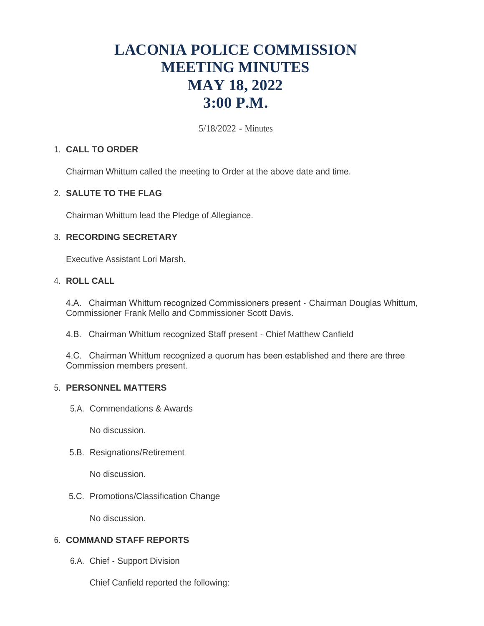# **LACONIA POLICE COMMISSION MEETING MINUTES MAY 18, 2022 3:00 P.M.**

5/18/2022 - Minutes

# **CALL TO ORDER** 1.

Chairman Whittum called the meeting to Order at the above date and time.

# **SALUTE TO THE FLAG** 2.

Chairman Whittum lead the Pledge of Allegiance.

## **RECORDING SECRETARY** 3.

Executive Assistant Lori Marsh.

# **ROLL CALL** 4.

4.A. Chairman Whittum recognized Commissioners present - Chairman Douglas Whittum, Commissioner Frank Mello and Commissioner Scott Davis.

4.B. Chairman Whittum recognized Staff present - Chief Matthew Canfield

4.C. Chairman Whittum recognized a quorum has been established and there are three Commission members present.

# **PERSONNEL MATTERS** 5.

5.A. Commendations & Awards

No discussion.

5.B. Resignations/Retirement

No discussion.

5.C. Promotions/Classification Change

No discussion.

# **COMMAND STAFF REPORTS** 6.

6.A. Chief - Support Division

Chief Canfield reported the following: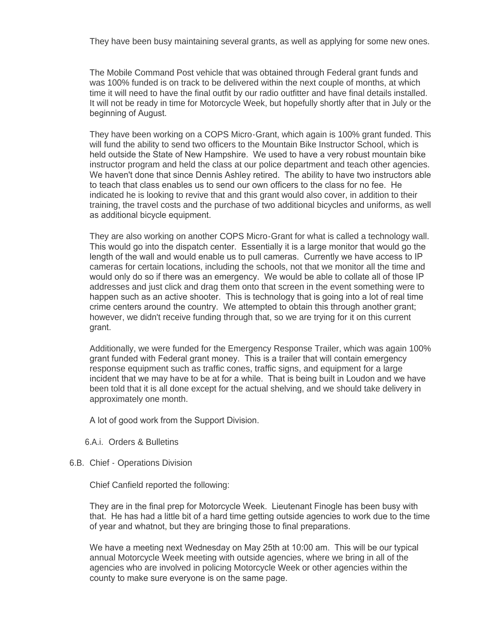They have been busy maintaining several grants, as well as applying for some new ones.

The Mobile Command Post vehicle that was obtained through Federal grant funds and was 100% funded is on track to be delivered within the next couple of months, at which time it will need to have the final outfit by our radio outfitter and have final details installed. It will not be ready in time for Motorcycle Week, but hopefully shortly after that in July or the beginning of August.

They have been working on a COPS Micro-Grant, which again is 100% grant funded. This will fund the ability to send two officers to the Mountain Bike Instructor School, which is held outside the State of New Hampshire. We used to have a very robust mountain bike instructor program and held the class at our police department and teach other agencies. We haven't done that since Dennis Ashley retired. The ability to have two instructors able to teach that class enables us to send our own officers to the class for no fee. He indicated he is looking to revive that and this grant would also cover, in addition to their training, the travel costs and the purchase of two additional bicycles and uniforms, as well as additional bicycle equipment.

They are also working on another COPS Micro-Grant for what is called a technology wall. This would go into the dispatch center. Essentially it is a large monitor that would go the length of the wall and would enable us to pull cameras. Currently we have access to IP cameras for certain locations, including the schools, not that we monitor all the time and would only do so if there was an emergency. We would be able to collate all of those IP addresses and just click and drag them onto that screen in the event something were to happen such as an active shooter. This is technology that is going into a lot of real time crime centers around the country. We attempted to obtain this through another grant; however, we didn't receive funding through that, so we are trying for it on this current grant.

Additionally, we were funded for the Emergency Response Trailer, which was again 100% grant funded with Federal grant money. This is a trailer that will contain emergency response equipment such as traffic cones, traffic signs, and equipment for a large incident that we may have to be at for a while. That is being built in Loudon and we have been told that it is all done except for the actual shelving, and we should take delivery in approximately one month.

A lot of good work from the Support Division.

- 6.A.i. Orders & Bulletins
- 6.B. Chief Operations Division

Chief Canfield reported the following:

They are in the final prep for Motorcycle Week. Lieutenant Finogle has been busy with that. He has had a little bit of a hard time getting outside agencies to work due to the time of year and whatnot, but they are bringing those to final preparations.

We have a meeting next Wednesday on May 25th at 10:00 am. This will be our typical annual Motorcycle Week meeting with outside agencies, where we bring in all of the agencies who are involved in policing Motorcycle Week or other agencies within the county to make sure everyone is on the same page.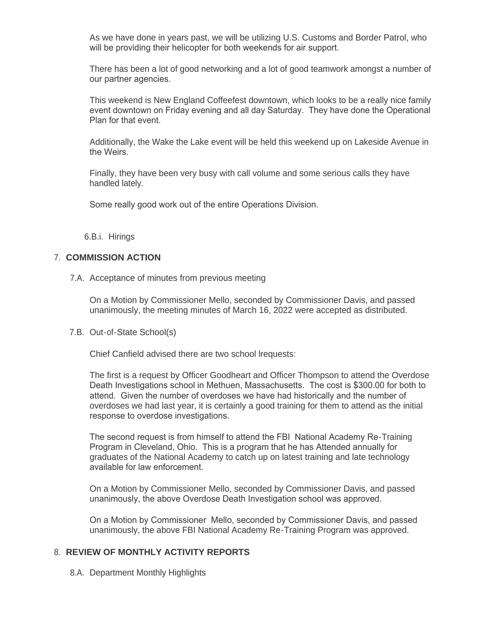As we have done in years past, we will be utilizing U.S. Customs and Border Patrol, who will be providing their helicopter for both weekends for air support.

There has been a lot of good networking and a lot of good teamwork amongst a number of our partner agencies.

This weekend is New England Coffeefest downtown, which looks to be a really nice family event downtown on Friday evening and all day Saturday. They have done the Operational Plan for that event.

Additionally, the Wake the Lake event will be held this weekend up on Lakeside Avenue in the Weirs.

Finally, they have been very busy with call volume and some serious calls they have handled lately.

Some really good work out of the entire Operations Division.

6.B.i. Hirings

# **COMMISSION ACTION** 7.

7.A. Acceptance of minutes from previous meeting

On a Motion by Commissioner Mello, seconded by Commissioner Davis, and passed unanimously, the meeting minutes of March 16, 2022 were accepted as distributed.

7.B. Out-of-State School(s)

Chief Canfield advised there are two school lrequests:

The first is a request by Officer Goodheart and Officer Thompson to attend the Overdose Death Investigations school in Methuen, Massachusetts. The cost is \$300.00 for both to attend. Given the number of overdoses we have had historically and the number of overdoses we had last year, it is certainly a good training for them to attend as the initial response to overdose investigations.

The second request is from himself to attend the FBI National Academy Re-Training Program in Cleveland, Ohio. This is a program that he has Attended annually for graduates of the National Academy to catch up on latest training and late technology available for law enforcement.

On a Motion by Commissioner Mello, seconded by Commissioner Davis, and passed unanimously, the above Overdose Death Investigation school was approved.

On a Motion by Commissioner Mello, seconded by Commissioner Davis, and passed unanimously, the above FBI National Academy Re-Training Program was approved.

### **REVIEW OF MONTHLY ACTIVITY REPORTS** 8.

8.A. Department Monthly Highlights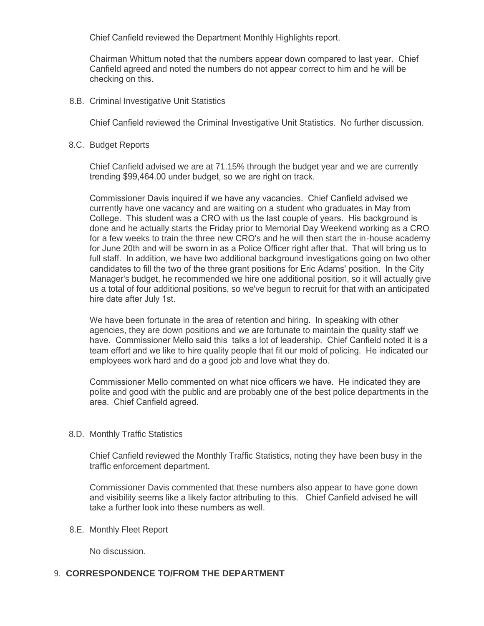Chief Canfield reviewed the Department Monthly Highlights report.

Chairman Whittum noted that the numbers appear down compared to last year. Chief Canfield agreed and noted the numbers do not appear correct to him and he will be checking on this.

8.B. Criminal Investigative Unit Statistics

Chief Canfield reviewed the Criminal Investigative Unit Statistics. No further discussion.

8.C. Budget Reports

Chief Canfield advised we are at 71.15% through the budget year and we are currently trending \$99,464.00 under budget, so we are right on track.

Commissioner Davis inquired if we have any vacancies. Chief Canfield advised we currently have one vacancy and are waiting on a student who graduates in May from College. This student was a CRO with us the last couple of years. His background is done and he actually starts the Friday prior to Memorial Day Weekend working as a CRO for a few weeks to train the three new CRO's and he will then start the in-house academy for June 20th and will be sworn in as a Police Officer right after that. That will bring us to full staff. In addition, we have two additional background investigations going on two other candidates to fill the two of the three grant positions for Eric Adams' position. In the City Manager's budget, he recommended we hire one additional position, so it will actually give us a total of four additional positions, so we've begun to recruit for that with an anticipated hire date after July 1st.

We have been fortunate in the area of retention and hiring. In speaking with other agencies, they are down positions and we are fortunate to maintain the quality staff we have. Commissioner Mello said this talks a lot of leadership. Chief Canfield noted it is a team effort and we like to hire quality people that fit our mold of policing. He indicated our employees work hard and do a good job and love what they do.

Commissioner Mello commented on what nice officers we have. He indicated they are polite and good with the public and are probably one of the best police departments in the area. Chief Canfield agreed.

8.D. Monthly Traffic Statistics

Chief Canfield reviewed the Monthly Traffic Statistics, noting they have been busy in the traffic enforcement department.

Commissioner Davis commented that these numbers also appear to have gone down and visibility seems like a likely factor attributing to this. Chief Canfield advised he will take a further look into these numbers as well.

8.E. Monthly Fleet Report

No discussion.

### **CORRESPONDENCE TO/FROM THE DEPARTMENT** 9.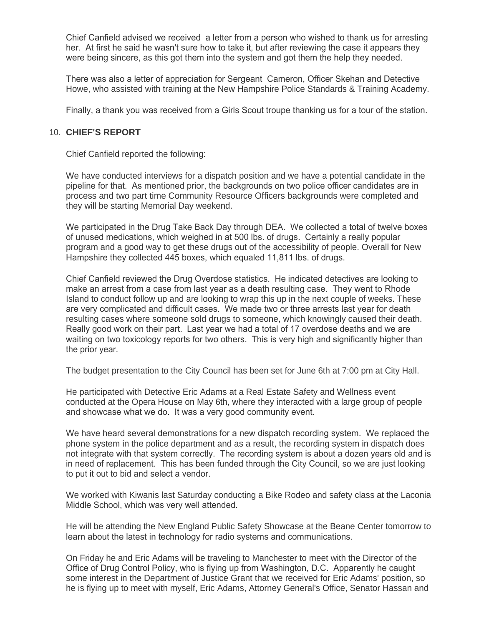Chief Canfield advised we received a letter from a person who wished to thank us for arresting her. At first he said he wasn't sure how to take it, but after reviewing the case it appears they were being sincere, as this got them into the system and got them the help they needed.

There was also a letter of appreciation for Sergeant Cameron, Officer Skehan and Detective Howe, who assisted with training at the New Hampshire Police Standards & Training Academy.

Finally, a thank you was received from a Girls Scout troupe thanking us for a tour of the station.

## **CHIEF'S REPORT** 10.

Chief Canfield reported the following:

We have conducted interviews for a dispatch position and we have a potential candidate in the pipeline for that. As mentioned prior, the backgrounds on two police officer candidates are in process and two part time Community Resource Officers backgrounds were completed and they will be starting Memorial Day weekend.

We participated in the Drug Take Back Day through DEA. We collected a total of twelve boxes of unused medications, which weighed in at 500 lbs. of drugs. Certainly a really popular program and a good way to get these drugs out of the accessibility of people. Overall for New Hampshire they collected 445 boxes, which equaled 11,811 lbs. of drugs.

Chief Canfield reviewed the Drug Overdose statistics. He indicated detectives are looking to make an arrest from a case from last year as a death resulting case. They went to Rhode Island to conduct follow up and are looking to wrap this up in the next couple of weeks. These are very complicated and difficult cases. We made two or three arrests last year for death resulting cases where someone sold drugs to someone, which knowingly caused their death. Really good work on their part. Last year we had a total of 17 overdose deaths and we are waiting on two toxicology reports for two others. This is very high and significantly higher than the prior year.

The budget presentation to the City Council has been set for June 6th at 7:00 pm at City Hall.

He participated with Detective Eric Adams at a Real Estate Safety and Wellness event conducted at the Opera House on May 6th, where they interacted with a large group of people and showcase what we do. It was a very good community event.

We have heard several demonstrations for a new dispatch recording system. We replaced the phone system in the police department and as a result, the recording system in dispatch does not integrate with that system correctly. The recording system is about a dozen years old and is in need of replacement. This has been funded through the City Council, so we are just looking to put it out to bid and select a vendor.

We worked with Kiwanis last Saturday conducting a Bike Rodeo and safety class at the Laconia Middle School, which was very well attended.

He will be attending the New England Public Safety Showcase at the Beane Center tomorrow to learn about the latest in technology for radio systems and communications.

On Friday he and Eric Adams will be traveling to Manchester to meet with the Director of the Office of Drug Control Policy, who is flying up from Washington, D.C. Apparently he caught some interest in the Department of Justice Grant that we received for Eric Adams' position, so he is flying up to meet with myself, Eric Adams, Attorney General's Office, Senator Hassan and